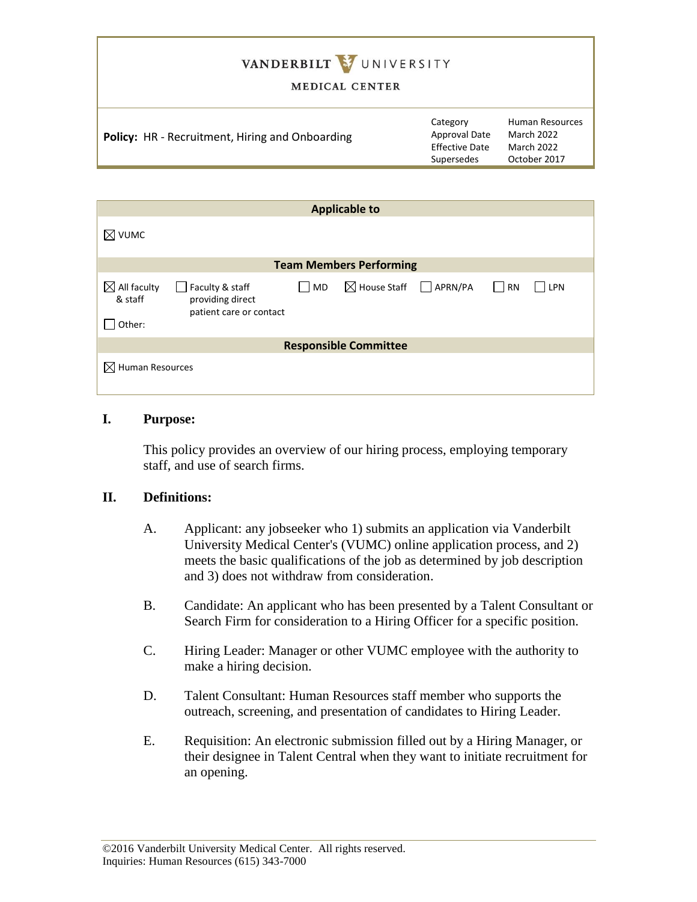# VANDERBILT VUNIVERSITY

#### MEDICAL CENTER

| <b>Policy:</b> HR - Recruitment, Hiring and Onboarding | Category<br>Approval Date<br><b>Effective Date</b><br>Supersedes | <b>Human Resources</b><br>March 2022<br>March 2022<br>October 2017 |
|--------------------------------------------------------|------------------------------------------------------------------|--------------------------------------------------------------------|
|                                                        |                                                                  |                                                                    |

| <b>Applicable to</b>                         |                                                                |    |                                        |  |               |     |  |
|----------------------------------------------|----------------------------------------------------------------|----|----------------------------------------|--|---------------|-----|--|
| $\boxtimes$ vumc                             |                                                                |    |                                        |  |               |     |  |
| <b>Team Members Performing</b>               |                                                                |    |                                        |  |               |     |  |
| $\boxtimes$ All faculty<br>& staff<br>Other: | Faculty & staff<br>providing direct<br>patient care or contact | MD | $\boxtimes$ House Staff $\Box$ APRN/PA |  | RN<br>$\perp$ | LPN |  |
| <b>Responsible Committee</b>                 |                                                                |    |                                        |  |               |     |  |
| $\boxtimes$ Human Resources                  |                                                                |    |                                        |  |               |     |  |

### **I. Purpose:**

This policy provides an overview of our hiring process, employing temporary staff, and use of search firms.

### **II. Definitions:**

- A. Applicant: any jobseeker who 1) submits an application via Vanderbilt University Medical Center's (VUMC) online application process, and 2) meets the basic qualifications of the job as determined by job description and 3) does not withdraw from consideration.
- B. Candidate: An applicant who has been presented by a Talent Consultant or Search Firm for consideration to a Hiring Officer for a specific position.
- C. Hiring Leader: Manager or other VUMC employee with the authority to make a hiring decision.
- D. Talent Consultant: Human Resources staff member who supports the outreach, screening, and presentation of candidates to Hiring Leader.
- E. Requisition: An electronic submission filled out by a Hiring Manager, or their designee in Talent Central when they want to initiate recruitment for an opening.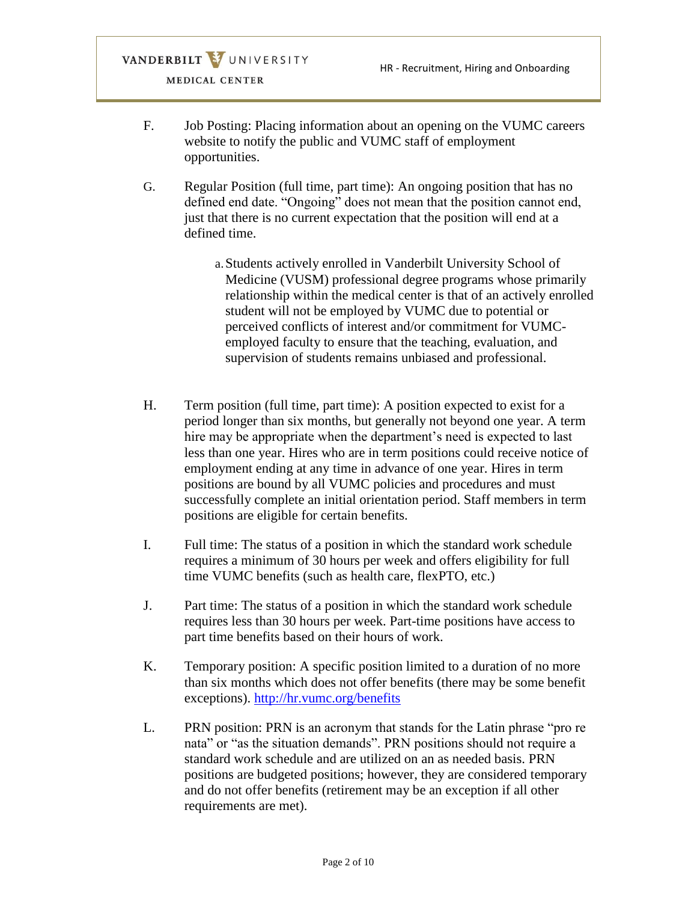- F. Job Posting: Placing information about an opening on the VUMC careers website to notify the public and VUMC staff of employment opportunities.
- G. Regular Position (full time, part time): An ongoing position that has no defined end date. "Ongoing" does not mean that the position cannot end, just that there is no current expectation that the position will end at a defined time.
	- a.Students actively enrolled in Vanderbilt University School of Medicine (VUSM) professional degree programs whose primarily relationship within the medical center is that of an actively enrolled student will not be employed by VUMC due to potential or perceived conflicts of interest and/or commitment for VUMCemployed faculty to ensure that the teaching, evaluation, and supervision of students remains unbiased and professional.
- H. Term position (full time, part time): A position expected to exist for a period longer than six months, but generally not beyond one year. A term hire may be appropriate when the department's need is expected to last less than one year. Hires who are in term positions could receive notice of employment ending at any time in advance of one year. Hires in term positions are bound by all VUMC policies and procedures and must successfully complete an initial orientation period. Staff members in term positions are eligible for certain benefits.
- I. Full time: The status of a position in which the standard work schedule requires a minimum of 30 hours per week and offers eligibility for full time VUMC benefits (such as health care, flexPTO, etc.)
- J. Part time: The status of a position in which the standard work schedule requires less than 30 hours per week. Part-time positions have access to part time benefits based on their hours of work.
- K. Temporary position: A specific position limited to a duration of no more than six months which does not offer benefits (there may be some benefit exceptions).<http://hr.vumc.org/benefits>
- L. PRN position: PRN is an acronym that stands for the Latin phrase "pro re nata" or "as the situation demands". PRN positions should not require a standard work schedule and are utilized on an as needed basis. PRN positions are budgeted positions; however, they are considered temporary and do not offer benefits (retirement may be an exception if all other requirements are met).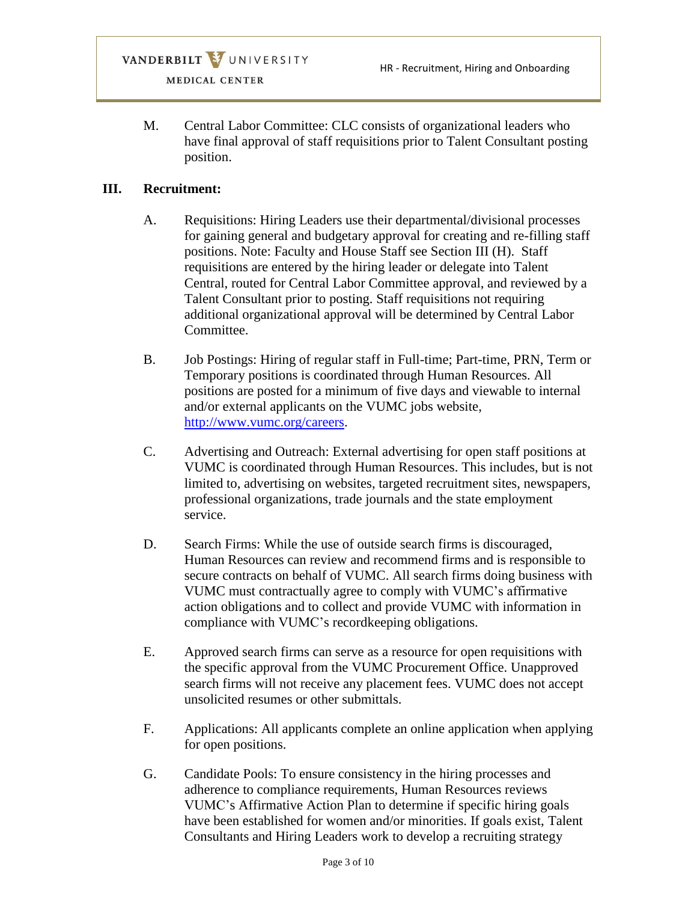M. Central Labor Committee: CLC consists of organizational leaders who have final approval of staff requisitions prior to Talent Consultant posting position.

### **III. Recruitment:**

- A. Requisitions: Hiring Leaders use their departmental/divisional processes for gaining general and budgetary approval for creating and re-filling staff positions. Note: Faculty and House Staff see Section III (H). Staff requisitions are entered by the hiring leader or delegate into Talent Central, routed for Central Labor Committee approval, and reviewed by a Talent Consultant prior to posting. Staff requisitions not requiring additional organizational approval will be determined by Central Labor Committee.
- B. Job Postings: Hiring of regular staff in Full-time; Part-time, PRN, Term or Temporary positions is coordinated through Human Resources. All positions are posted for a minimum of five days and viewable to internal and/or external applicants on the VUMC jobs website, [http://www.vumc.org/careers.](http://www.vumc.org/careers)
- C. Advertising and Outreach: External advertising for open staff positions at VUMC is coordinated through Human Resources. This includes, but is not limited to, advertising on websites, targeted recruitment sites, newspapers, professional organizations, trade journals and the state employment service.
- D. Search Firms: While the use of outside search firms is discouraged, Human Resources can review and recommend firms and is responsible to secure contracts on behalf of VUMC. All search firms doing business with VUMC must contractually agree to comply with VUMC's affirmative action obligations and to collect and provide VUMC with information in compliance with VUMC's recordkeeping obligations.
- E. Approved search firms can serve as a resource for open requisitions with the specific approval from the VUMC Procurement Office. Unapproved search firms will not receive any placement fees. VUMC does not accept unsolicited resumes or other submittals.
- F. Applications: All applicants complete an online application when applying for open positions.
- G. Candidate Pools: To ensure consistency in the hiring processes and adherence to compliance requirements, Human Resources reviews VUMC's Affirmative Action Plan to determine if specific hiring goals have been established for women and/or minorities. If goals exist, Talent Consultants and Hiring Leaders work to develop a recruiting strategy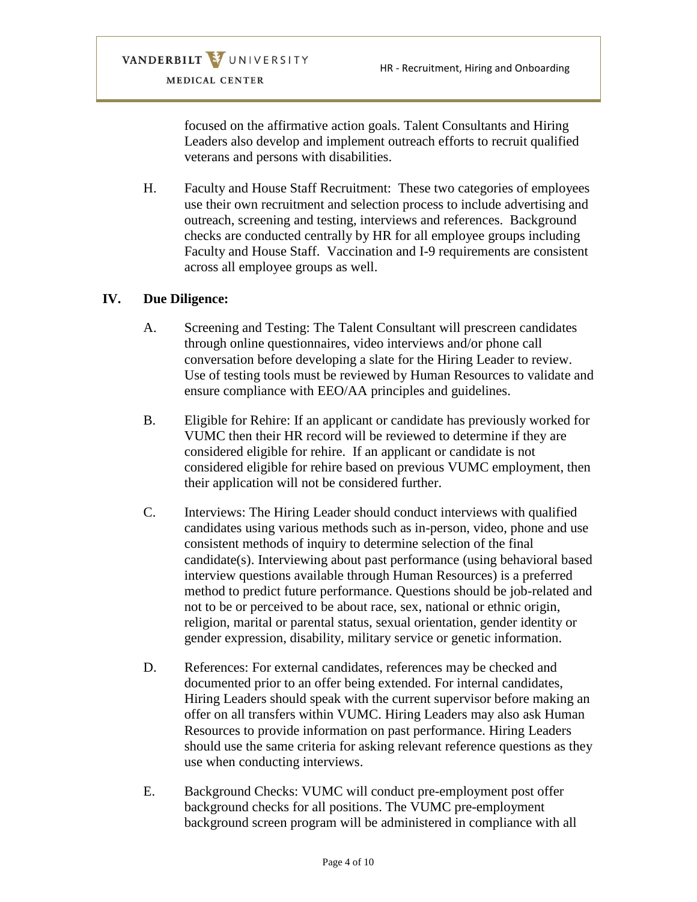focused on the affirmative action goals. Talent Consultants and Hiring Leaders also develop and implement outreach efforts to recruit qualified veterans and persons with disabilities.

H. Faculty and House Staff Recruitment: These two categories of employees use their own recruitment and selection process to include advertising and outreach, screening and testing, interviews and references. Background checks are conducted centrally by HR for all employee groups including Faculty and House Staff. Vaccination and I-9 requirements are consistent across all employee groups as well.

### **IV. Due Diligence:**

- A. Screening and Testing: The Talent Consultant will prescreen candidates through online questionnaires, video interviews and/or phone call conversation before developing a slate for the Hiring Leader to review. Use of testing tools must be reviewed by Human Resources to validate and ensure compliance with EEO/AA principles and guidelines.
- B. Eligible for Rehire: If an applicant or candidate has previously worked for VUMC then their HR record will be reviewed to determine if they are considered eligible for rehire. If an applicant or candidate is not considered eligible for rehire based on previous VUMC employment, then their application will not be considered further.
- C. Interviews: The Hiring Leader should conduct interviews with qualified candidates using various methods such as in-person, video, phone and use consistent methods of inquiry to determine selection of the final candidate(s). Interviewing about past performance (using behavioral based interview questions available through Human Resources) is a preferred method to predict future performance. Questions should be job-related and not to be or perceived to be about race, sex, national or ethnic origin, religion, marital or parental status, sexual orientation, gender identity or gender expression, disability, military service or genetic information.
- D. References: For external candidates, references may be checked and documented prior to an offer being extended. For internal candidates, Hiring Leaders should speak with the current supervisor before making an offer on all transfers within VUMC. Hiring Leaders may also ask Human Resources to provide information on past performance. Hiring Leaders should use the same criteria for asking relevant reference questions as they use when conducting interviews.
- E. Background Checks: VUMC will conduct pre-employment post offer background checks for all positions. The VUMC pre-employment background screen program will be administered in compliance with all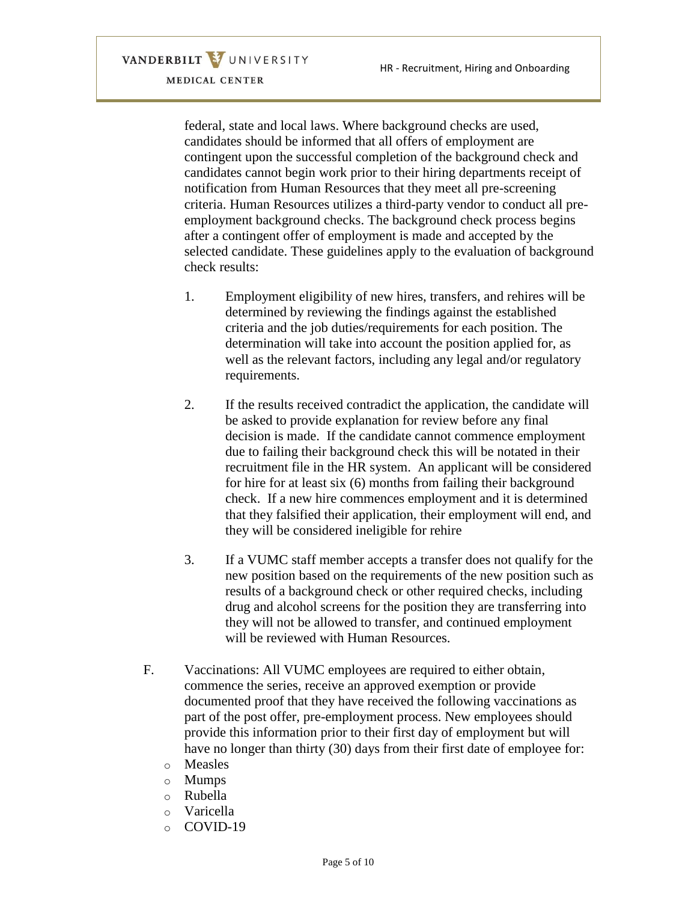> federal, state and local laws. Where background checks are used, candidates should be informed that all offers of employment are contingent upon the successful completion of the background check and candidates cannot begin work prior to their hiring departments receipt of notification from Human Resources that they meet all pre-screening criteria. Human Resources utilizes a third-party vendor to conduct all preemployment background checks. The background check process begins after a contingent offer of employment is made and accepted by the selected candidate. These guidelines apply to the evaluation of background check results:

- 1. Employment eligibility of new hires, transfers, and rehires will be determined by reviewing the findings against the established criteria and the job duties/requirements for each position. The determination will take into account the position applied for, as well as the relevant factors, including any legal and/or regulatory requirements.
- 2. If the results received contradict the application, the candidate will be asked to provide explanation for review before any final decision is made. If the candidate cannot commence employment due to failing their background check this will be notated in their recruitment file in the HR system. An applicant will be considered for hire for at least six (6) months from failing their background check. If a new hire commences employment and it is determined that they falsified their application, their employment will end, and they will be considered ineligible for rehire
- 3. If a VUMC staff member accepts a transfer does not qualify for the new position based on the requirements of the new position such as results of a background check or other required checks, including drug and alcohol screens for the position they are transferring into they will not be allowed to transfer, and continued employment will be reviewed with Human Resources.
- F. Vaccinations: All VUMC employees are required to either obtain, commence the series, receive an approved exemption or provide documented proof that they have received the following vaccinations as part of the post offer, pre-employment process. New employees should provide this information prior to their first day of employment but will have no longer than thirty (30) days from their first date of employee for:
	- o Measles
	- o Mumps
	- o Rubella
	- o Varicella
	- o COVID-19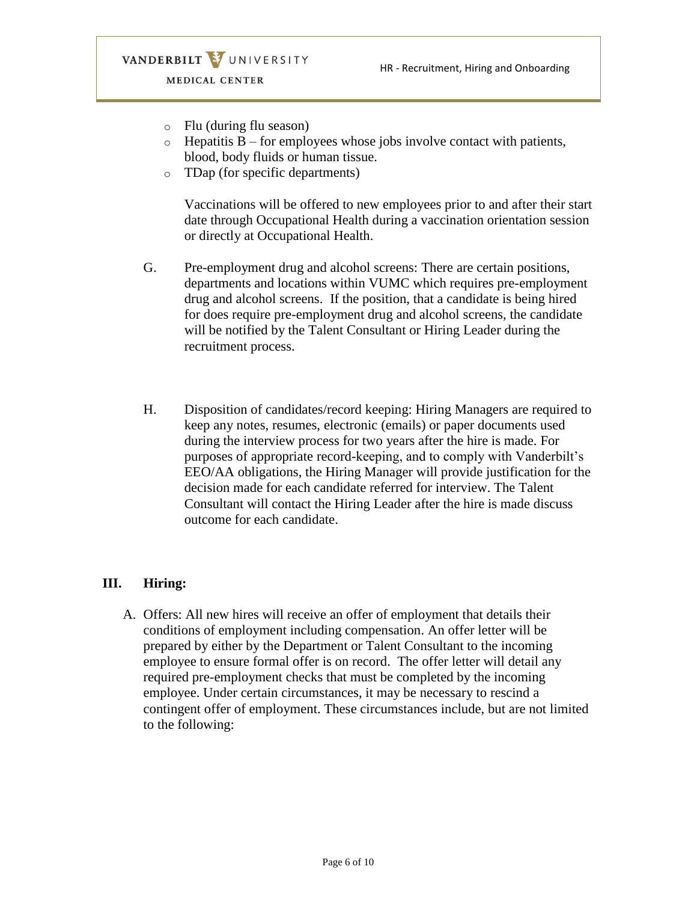- o Flu (during flu season)
- $\circ$  Hepatitis B for employees whose jobs involve contact with patients, blood, body fluids or human tissue.
- o TDap (for specific departments)

Vaccinations will be offered to new employees prior to and after their start date through Occupational Health during a vaccination orientation session or directly at Occupational Health.

- G. Pre-employment drug and alcohol screens: There are certain positions, departments and locations within VUMC which requires pre-employment drug and alcohol screens. If the position, that a candidate is being hired for does require pre-employment drug and alcohol screens, the candidate will be notified by the Talent Consultant or Hiring Leader during the recruitment process.
- H. Disposition of candidates/record keeping: Hiring Managers are required to keep any notes, resumes, electronic (emails) or paper documents used during the interview process for two years after the hire is made. For purposes of appropriate record-keeping, and to comply with Vanderbilt's EEO/AA obligations, the Hiring Manager will provide justification for the decision made for each candidate referred for interview. The Talent Consultant will contact the Hiring Leader after the hire is made discuss outcome for each candidate.

### **III. Hiring:**

A. Offers: All new hires will receive an offer of employment that details their conditions of employment including compensation. An offer letter will be prepared by either by the Department or Talent Consultant to the incoming employee to ensure formal offer is on record. The offer letter will detail any required pre-employment checks that must be completed by the incoming employee. Under certain circumstances, it may be necessary to rescind a contingent offer of employment. These circumstances include, but are not limited to the following: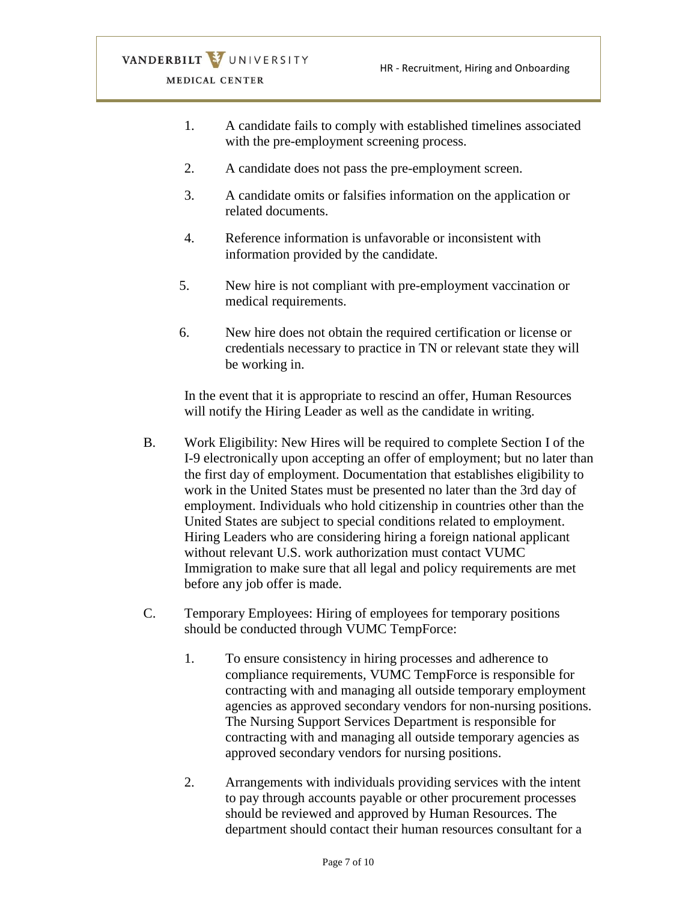- 1. A candidate fails to comply with established timelines associated with the pre-employment screening process.
- 2. A candidate does not pass the pre-employment screen.
- 3. A candidate omits or falsifies information on the application or related documents.
- 4. Reference information is unfavorable or inconsistent with information provided by the candidate.
- 5. New hire is not compliant with pre-employment vaccination or medical requirements.
- 6. New hire does not obtain the required certification or license or credentials necessary to practice in TN or relevant state they will be working in.

In the event that it is appropriate to rescind an offer, Human Resources will notify the Hiring Leader as well as the candidate in writing.

- B. Work Eligibility: New Hires will be required to complete Section I of the I-9 electronically upon accepting an offer of employment; but no later than the first day of employment. Documentation that establishes eligibility to work in the United States must be presented no later than the 3rd day of employment. Individuals who hold citizenship in countries other than the United States are subject to special conditions related to employment. Hiring Leaders who are considering hiring a foreign national applicant without relevant U.S. work authorization must contact VUMC Immigration to make sure that all legal and policy requirements are met before any job offer is made.
- C. Temporary Employees: Hiring of employees for temporary positions should be conducted through VUMC TempForce:
	- 1. To ensure consistency in hiring processes and adherence to compliance requirements, VUMC TempForce is responsible for contracting with and managing all outside temporary employment agencies as approved secondary vendors for non-nursing positions. The Nursing Support Services Department is responsible for contracting with and managing all outside temporary agencies as approved secondary vendors for nursing positions.
	- 2. Arrangements with individuals providing services with the intent to pay through accounts payable or other procurement processes should be reviewed and approved by Human Resources. The department should contact their human resources consultant for a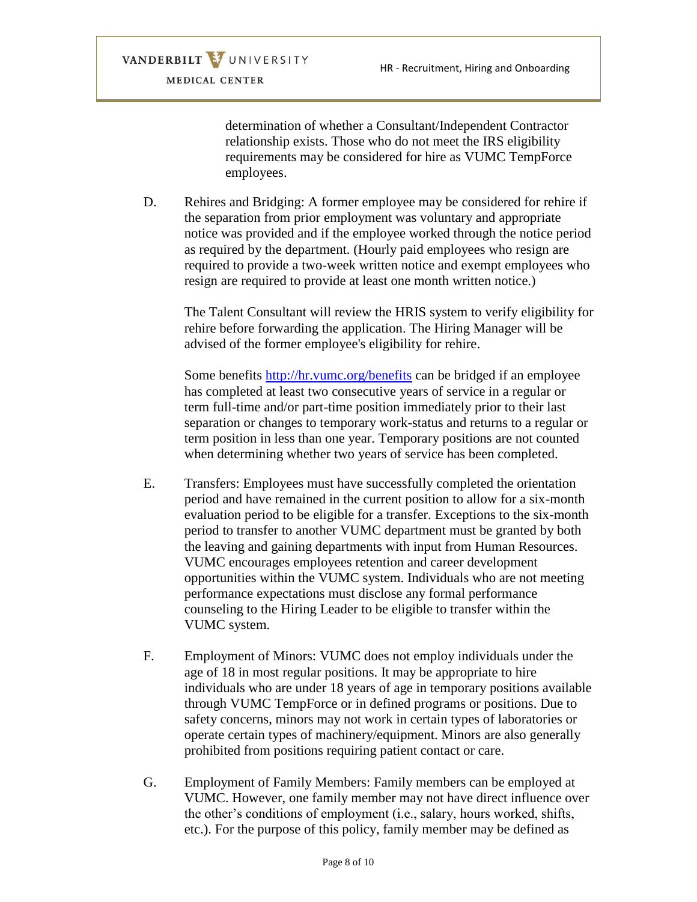> determination of whether a Consultant/Independent Contractor relationship exists. Those who do not meet the IRS eligibility requirements may be considered for hire as VUMC TempForce employees.

D. Rehires and Bridging: A former employee may be considered for rehire if the separation from prior employment was voluntary and appropriate notice was provided and if the employee worked through the notice period as required by the department. (Hourly paid employees who resign are required to provide a two-week written notice and exempt employees who resign are required to provide at least one month written notice.)

The Talent Consultant will review the HRIS system to verify eligibility for rehire before forwarding the application. The Hiring Manager will be advised of the former employee's eligibility for rehire.

Some benefits<http://hr.vumc.org/benefits> can be bridged if an employee has completed at least two consecutive years of service in a regular or term full-time and/or part-time position immediately prior to their last separation or changes to temporary work-status and returns to a regular or term position in less than one year. Temporary positions are not counted when determining whether two years of service has been completed.

- E. Transfers: Employees must have successfully completed the orientation period and have remained in the current position to allow for a six-month evaluation period to be eligible for a transfer. Exceptions to the six-month period to transfer to another VUMC department must be granted by both the leaving and gaining departments with input from Human Resources. VUMC encourages employees retention and career development opportunities within the VUMC system. Individuals who are not meeting performance expectations must disclose any formal performance counseling to the Hiring Leader to be eligible to transfer within the VUMC system.
- F. Employment of Minors: VUMC does not employ individuals under the age of 18 in most regular positions. It may be appropriate to hire individuals who are under 18 years of age in temporary positions available through VUMC TempForce or in defined programs or positions. Due to safety concerns, minors may not work in certain types of laboratories or operate certain types of machinery/equipment. Minors are also generally prohibited from positions requiring patient contact or care.
- G. Employment of Family Members: Family members can be employed at VUMC. However, one family member may not have direct influence over the other's conditions of employment (i.e., salary, hours worked, shifts, etc.). For the purpose of this policy, family member may be defined as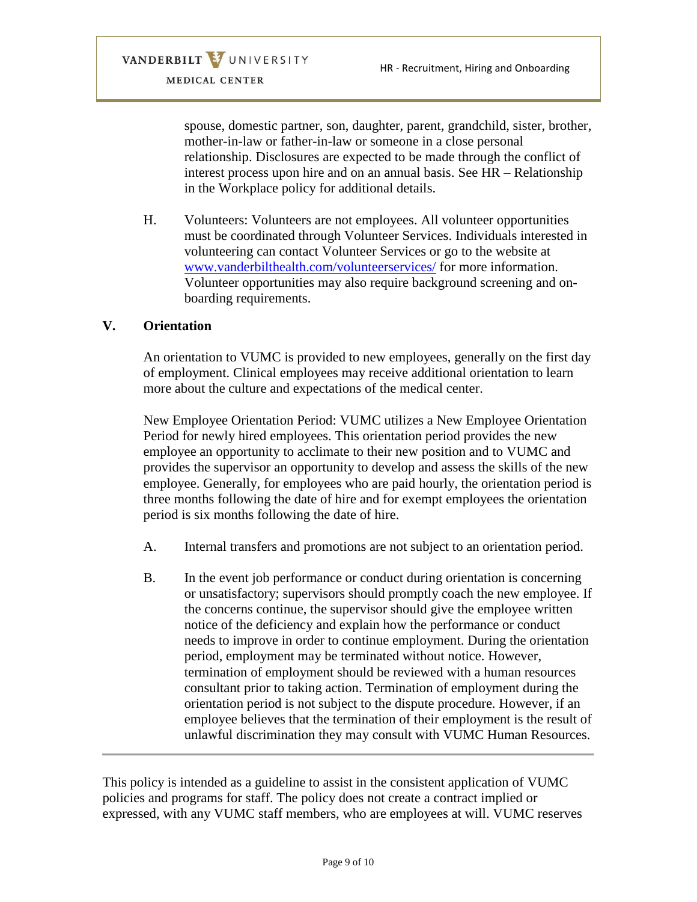spouse, domestic partner, son, daughter, parent, grandchild, sister, brother, mother-in-law or father-in-law or someone in a close personal relationship. Disclosures are expected to be made through the conflict of interest process upon hire and on an annual basis. See HR – Relationship in the Workplace policy for additional details.

H. Volunteers: Volunteers are not employees. All volunteer opportunities must be coordinated through Volunteer Services. Individuals interested in volunteering can contact Volunteer Services or go to the website at [www.vanderbilthealth.com/volunteerservices/](http://www.vanderbilthealth.com/volunteerservices/) for more information. Volunteer opportunities may also require background screening and onboarding requirements.

### **V. Orientation**

An orientation to VUMC is provided to new employees, generally on the first day of employment. Clinical employees may receive additional orientation to learn more about the culture and expectations of the medical center.

New Employee Orientation Period: VUMC utilizes a New Employee Orientation Period for newly hired employees. This orientation period provides the new employee an opportunity to acclimate to their new position and to VUMC and provides the supervisor an opportunity to develop and assess the skills of the new employee. Generally, for employees who are paid hourly, the orientation period is three months following the date of hire and for exempt employees the orientation period is six months following the date of hire.

- A. Internal transfers and promotions are not subject to an orientation period.
- B. In the event job performance or conduct during orientation is concerning or unsatisfactory; supervisors should promptly coach the new employee. If the concerns continue, the supervisor should give the employee written notice of the deficiency and explain how the performance or conduct needs to improve in order to continue employment. During the orientation period, employment may be terminated without notice. However, termination of employment should be reviewed with a human resources consultant prior to taking action. Termination of employment during the orientation period is not subject to the dispute procedure. However, if an employee believes that the termination of their employment is the result of unlawful discrimination they may consult with VUMC Human Resources.

This policy is intended as a guideline to assist in the consistent application of VUMC policies and programs for staff. The policy does not create a contract implied or expressed, with any VUMC staff members, who are employees at will. VUMC reserves